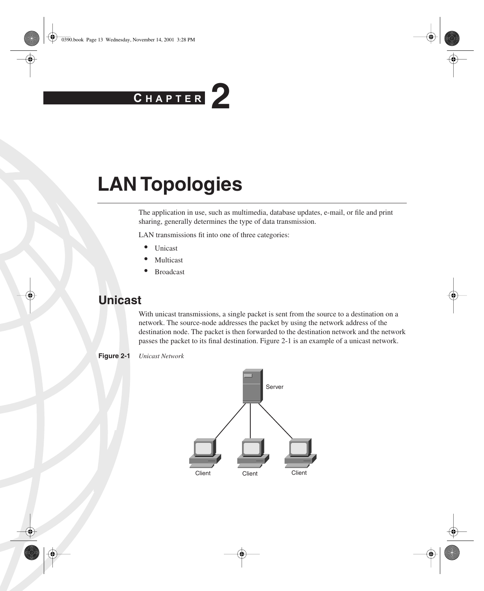# **C H <sup>A</sup> <sup>P</sup> <sup>T</sup> <sup>E</sup> <sup>R</sup> 2**

# **LAN Topologies**

The application in use, such as multimedia, database updates, e-mail, or file and print sharing, generally determines the type of data transmission.

LAN transmissions fit into one of three categories:

- Unicast
- **Multicast**
- **Broadcast**

# **Unicast**

With unicast transmissions, a single packet is sent from the source to a destination on a network. The source-node addresses the packet by using the network address of the destination node. The packet is then forwarded to the destination network and the network passes the packet to its final destination. Figure 2-1 is an example of a unicast network.



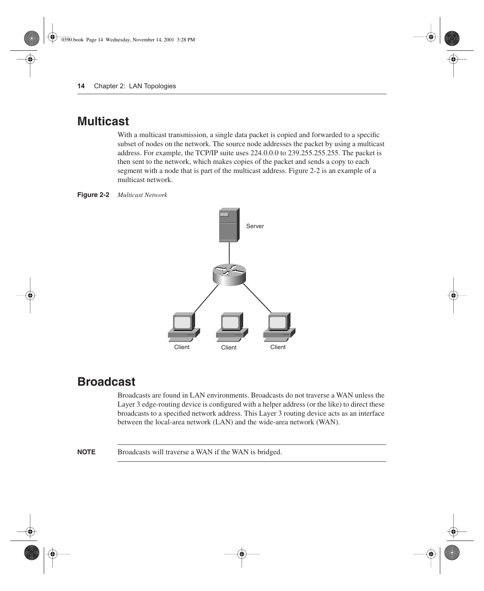# **Multicast**

With a multicast transmission, a single data packet is copied and forwarded to a specific subset of nodes on the network. The source node addresses the packet by using a multicast address. For example, the TCP/IP suite uses 224.0.0.0 to 239.255.255.255. The packet is then sent to the network, which makes copies of the packet and sends a copy to each segment with a node that is part of the multicast address. Figure 2-2 is an example of a multicast network.

**Figure 2-2** *Multicast Network*



# **Broadcast**

Broadcasts are found in LAN environments. Broadcasts do not traverse a WAN unless the Layer 3 edge-routing device is configured with a helper address (or the like) to direct these broadcasts to a specified network address. This Layer 3 routing device acts as an interface between the local-area network (LAN) and the wide-area network (WAN).

**NOTE** Broadcasts will traverse a WAN if the WAN is bridged.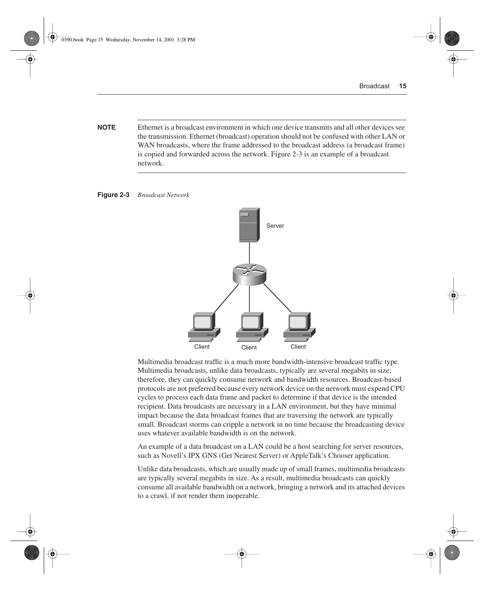**NOTE** Ethernet is a broadcast environment in which one device transmits and all other devices see the transmission. Ethernet (broadcast) operation should not be confused with other LAN or WAN broadcasts, where the frame addressed to the broadcast address (a broadcast frame) is copied and forwarded across the network. Figure 2-3 is an example of a broadcast network.





Multimedia broadcast traffic is a much more bandwidth-intensive broadcast traffic type. Multimedia broadcasts, unlike data broadcasts, typically are several megabits in size; therefore, they can quickly consume network and bandwidth resources. Broadcast-based protocols are not preferred because every network device on the network must expend CPU cycles to process each data frame and packet to determine if that device is the intended recipient. Data broadcasts are necessary in a LAN environment, but they have minimal impact because the data broadcast frames that are traversing the network are typically small. Broadcast storms can cripple a network in no time because the broadcasting device uses whatever available bandwidth is on the network.

An example of a data broadcast on a LAN could be a host searching for server resources, such as Novell's IPX GNS (Get Nearest Server) or AppleTalk's Chooser application.

Unlike data broadcasts, which are usually made up of small frames, multimedia broadcasts are typically several megabits in size. As a result, multimedia broadcasts can quickly consume all available bandwidth on a network, bringing a network and its attached devices to a crawl, if not render them inoperable.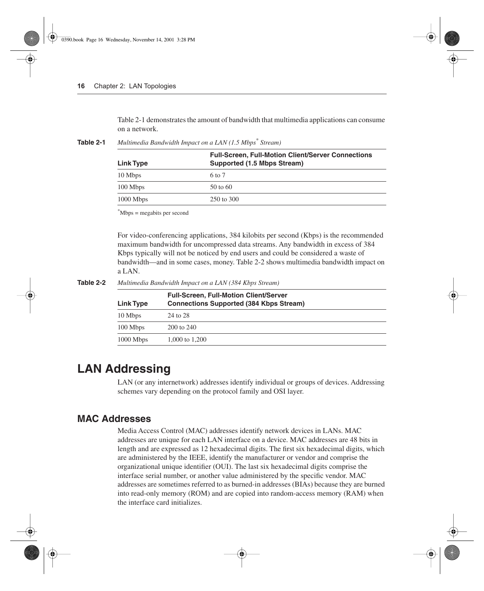Table 2-1 demonstrates the amount of bandwidth that multimedia applications can consume on a network.

| Link Type   | <b>Full-Screen, Full-Motion Client/Server Connections</b><br>Supported (1.5 Mbps Stream) |  |  |
|-------------|------------------------------------------------------------------------------------------|--|--|
| 10 Mbps     | 6 to 7                                                                                   |  |  |
| 100 Mbps    | $50 \text{ to } 60$                                                                      |  |  |
| $1000$ Mbps | 250 to 300                                                                               |  |  |

**Table 2-1** *Multimedia Bandwidth Impact on a LAN (1.5 Mbps\* Stream)*

\*Mbps = megabits per second

For video-conferencing applications, 384 kilobits per second (Kbps) is the recommended maximum bandwidth for uncompressed data streams. Any bandwidth in excess of 384 Kbps typically will not be noticed by end users and could be considered a waste of bandwidth—and in some cases, money. Table 2-2 shows multimedia bandwidth impact on a LAN.

**Table 2-2** *Multimedia Bandwidth Impact on a LAN (384 Kbps Stream)*

| Link Type   | <b>Full-Screen, Full-Motion Client/Server</b><br><b>Connections Supported (384 Kbps Stream)</b> |  |  |
|-------------|-------------------------------------------------------------------------------------------------|--|--|
| 10 Mbps     | 24 to 28                                                                                        |  |  |
| 100 Mbps    | 200 to 240                                                                                      |  |  |
| $1000$ Mbps | 1,000 to 1,200                                                                                  |  |  |

# **LAN Addressing**

LAN (or any internetwork) addresses identify individual or groups of devices. Addressing schemes vary depending on the protocol family and OSI layer.

## **MAC Addresses**

Media Access Control (MAC) addresses identify network devices in LANs. MAC addresses are unique for each LAN interface on a device. MAC addresses are 48 bits in length and are expressed as 12 hexadecimal digits. The first six hexadecimal digits, which are administered by the IEEE, identify the manufacturer or vendor and comprise the organizational unique identifier (OUI). The last six hexadecimal digits comprise the interface serial number, or another value administered by the specific vendor. MAC addresses are sometimes referred to as burned-in addresses (BIAs) because they are burned into read-only memory (ROM) and are copied into random-access memory (RAM) when the interface card initializes.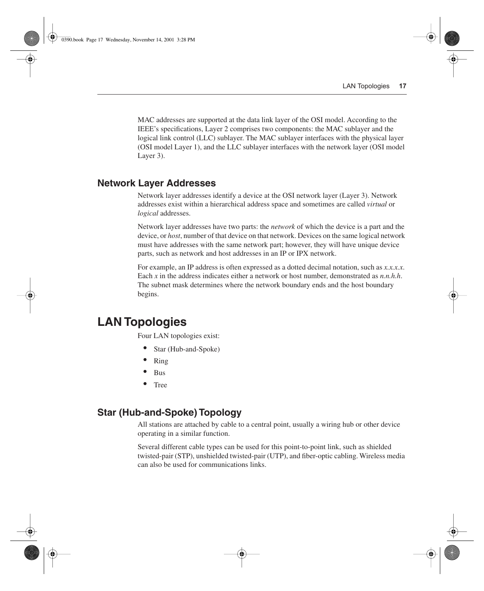MAC addresses are supported at the data link layer of the OSI model. According to the IEEE's specifications, Layer 2 comprises two components: the MAC sublayer and the logical link control (LLC) sublayer. The MAC sublayer interfaces with the physical layer (OSI model Layer 1), and the LLC sublayer interfaces with the network layer (OSI model Layer 3).

## **Network Layer Addresses**

Network layer addresses identify a device at the OSI network layer (Layer 3). Network addresses exist within a hierarchical address space and sometimes are called *virtual* or *logical* addresses.

Network layer addresses have two parts: the *network* of which the device is a part and the device, or *host*, number of that device on that network. Devices on the same logical network must have addresses with the same network part; however, they will have unique device parts, such as network and host addresses in an IP or IPX network.

For example, an IP address is often expressed as a dotted decimal notation, such as *x.x.x.x*. Each *x* in the address indicates either a network or host number, demonstrated as *n.n.h.h.* The subnet mask determines where the network boundary ends and the host boundary begins.

# **LAN Topologies**

Four LAN topologies exist:

- Star (Hub-and-Spoke)
- Ring
- Bus
- Tree

## **Star (Hub-and-Spoke) Topology**

All stations are attached by cable to a central point, usually a wiring hub or other device operating in a similar function.

Several different cable types can be used for this point-to-point link, such as shielded twisted-pair (STP), unshielded twisted-pair (UTP), and fiber-optic cabling. Wireless media can also be used for communications links.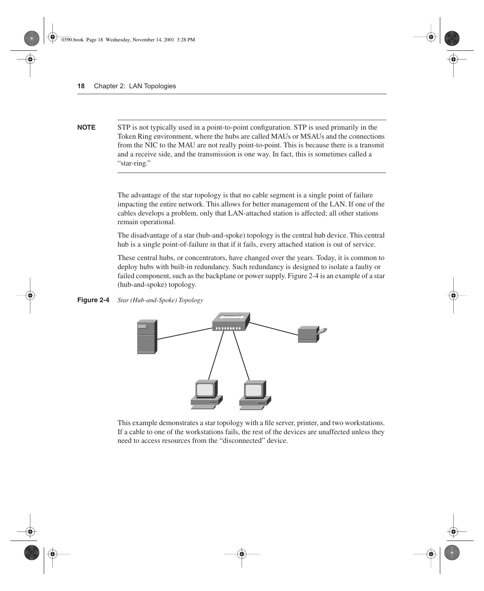**NOTE** STP is not typically used in a point-to-point configuration. STP is used primarily in the Token Ring environment, where the hubs are called MAUs or MSAUs and the connections from the NIC to the MAU are not really point-to-point. This is because there is a transmit and a receive side, and the transmission is one way. In fact, this is sometimes called a "star-ring."

> The advantage of the star topology is that no cable segment is a single point of failure impacting the entire network. This allows for better management of the LAN. If one of the cables develops a problem, only that LAN-attached station is affected; all other stations remain operational.

> The disadvantage of a star (hub-and-spoke) topology is the central hub device. This central hub is a single point-of-failure in that if it fails, every attached station is out of service.

> These central hubs, or concentrators, have changed over the years. Today, it is common to deploy hubs with built-in redundancy. Such redundancy is designed to isolate a faulty or failed component, such as the backplane or power supply. Figure 2-4 is an example of a star (hub-and-spoke) topology.

**Figure 2-4** *Star (Hub-and-Spoke) Topology*



This example demonstrates a star topology with a file server, printer, and two workstations. If a cable to one of the workstations fails, the rest of the devices are unaffected unless they need to access resources from the "disconnected" device.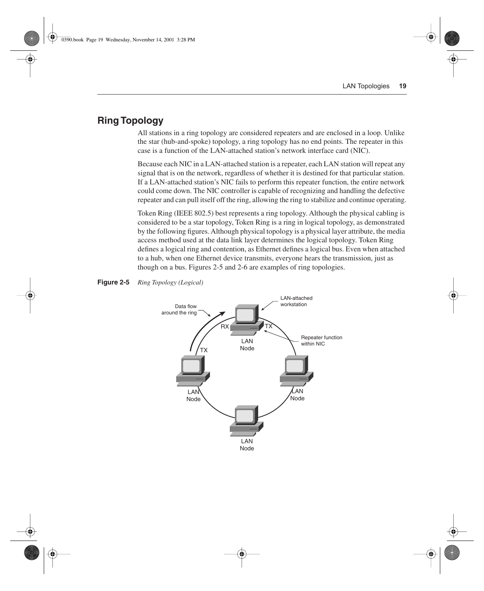# **Ring Topology**

All stations in a ring topology are considered repeaters and are enclosed in a loop. Unlike the star (hub-and-spoke) topology, a ring topology has no end points. The repeater in this case is a function of the LAN-attached station's network interface card (NIC).

Because each NIC in a LAN-attached station is a repeater, each LAN station will repeat any signal that is on the network, regardless of whether it is destined for that particular station. If a LAN-attached station's NIC fails to perform this repeater function, the entire network could come down. The NIC controller is capable of recognizing and handling the defective repeater and can pull itself off the ring, allowing the ring to stabilize and continue operating.

Token Ring (IEEE 802.5) best represents a ring topology. Although the physical cabling is considered to be a star topology, Token Ring is a ring in logical topology, as demonstrated by the following figures. Although physical topology is a physical layer attribute, the media access method used at the data link layer determines the logical topology. Token Ring defines a logical ring and contention, as Ethernet defines a logical bus. Even when attached to a hub, when one Ethernet device transmits, everyone hears the transmission, just as though on a bus. Figures 2-5 and 2-6 are examples of ring topologies.



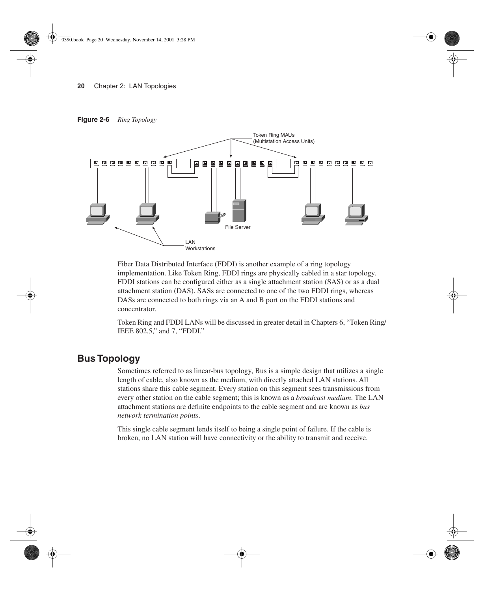#### **Figure 2-6** *Ring Topology*



Fiber Data Distributed Interface (FDDI) is another example of a ring topology implementation. Like Token Ring, FDDI rings are physically cabled in a star topology. FDDI stations can be configured either as a single attachment station (SAS) or as a dual attachment station (DAS). SASs are connected to one of the two FDDI rings, whereas DASs are connected to both rings via an A and B port on the FDDI stations and concentrator.

Token Ring and FDDI LANs will be discussed in greater detail in Chapters 6, "Token Ring/ IEEE 802.5," and 7, "FDDI."

## **Bus Topology**

Sometimes referred to as linear-bus topology, Bus is a simple design that utilizes a single length of cable, also known as the medium, with directly attached LAN stations. All stations share this cable segment. Every station on this segment sees transmissions from every other station on the cable segment; this is known as a *broadcast medium*. The LAN attachment stations are definite endpoints to the cable segment and are known as *bus network termination points*.

This single cable segment lends itself to being a single point of failure. If the cable is broken, no LAN station will have connectivity or the ability to transmit and receive.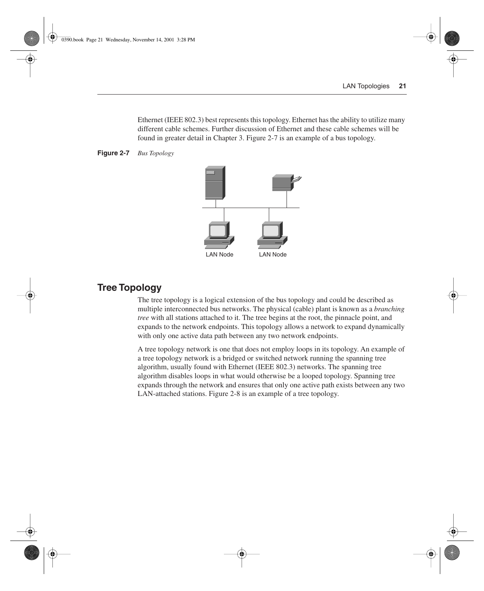Ethernet (IEEE 802.3) best represents this topology. Ethernet has the ability to utilize many different cable schemes. Further discussion of Ethernet and these cable schemes will be found in greater detail in Chapter 3. Figure 2-7 is an example of a bus topology.





## **Tree Topology**

The tree topology is a logical extension of the bus topology and could be described as multiple interconnected bus networks. The physical (cable) plant is known as a *branching tree* with all stations attached to it. The tree begins at the root, the pinnacle point, and expands to the network endpoints. This topology allows a network to expand dynamically with only one active data path between any two network endpoints.

A tree topology network is one that does not employ loops in its topology. An example of a tree topology network is a bridged or switched network running the spanning tree algorithm, usually found with Ethernet (IEEE 802.3) networks. The spanning tree algorithm disables loops in what would otherwise be a looped topology. Spanning tree expands through the network and ensures that only one active path exists between any two LAN-attached stations. Figure 2-8 is an example of a tree topology.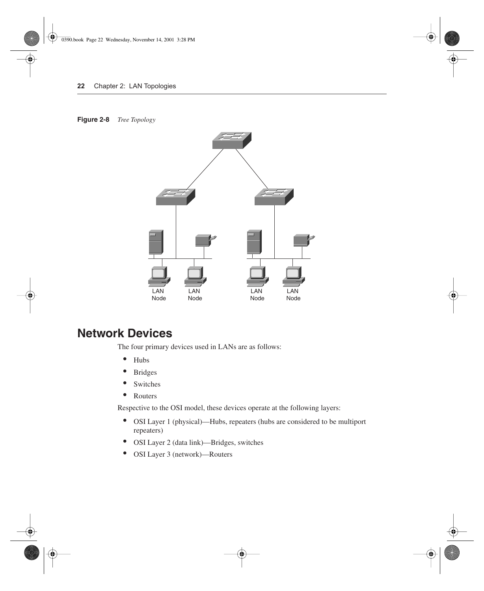#### **Figure 2-8** *Tree Topology*



# **Network Devices**

The four primary devices used in LANs are as follows:

- Hubs
- Bridges
- Switches
- Routers

Respective to the OSI model, these devices operate at the following layers:

- OSI Layer 1 (physical)—Hubs, repeaters (hubs are considered to be multiport repeaters)
- OSI Layer 2 (data link)—Bridges, switches
- OSI Layer 3 (network)—Routers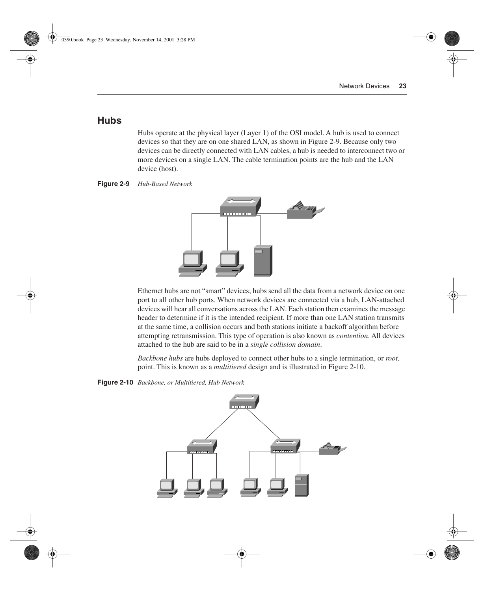## **Hubs**

Hubs operate at the physical layer (Layer 1) of the OSI model. A hub is used to connect devices so that they are on one shared LAN, as shown in Figure 2-9. Because only two devices can be directly connected with LAN cables, a hub is needed to interconnect two or more devices on a single LAN. The cable termination points are the hub and the LAN device (host).





Ethernet hubs are not "smart" devices; hubs send all the data from a network device on one port to all other hub ports. When network devices are connected via a hub, LAN-attached devices will hear all conversations across the LAN. Each station then examines the message header to determine if it is the intended recipient. If more than one LAN station transmits at the same time, a collision occurs and both stations initiate a backoff algorithm before attempting retransmission. This type of operation is also known as *contention*. All devices attached to the hub are said to be in a *single collision domain*.

*Backbone hubs* are hubs deployed to connect other hubs to a single termination, or *root,* point. This is known as a *multitiered* design and is illustrated in Figure 2-10.

**Figure 2-10** *Backbone, or Multitiered, Hub Network*

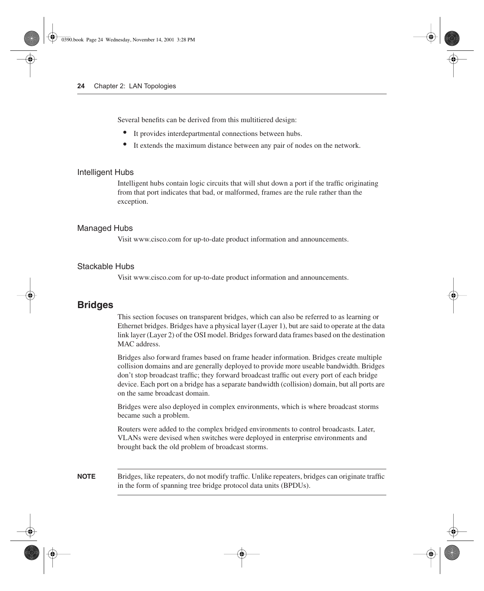Several benefits can be derived from this multitiered design:

- It provides interdepartmental connections between hubs.
- It extends the maximum distance between any pair of nodes on the network.

#### Intelligent Hubs

Intelligent hubs contain logic circuits that will shut down a port if the traffic originating from that port indicates that bad, or malformed, frames are the rule rather than the exception.

#### Managed Hubs

Visit www.cisco.com for up-to-date product information and announcements.

#### Stackable Hubs

Visit www.cisco.com for up-to-date product information and announcements.

### **Bridges**

This section focuses on transparent bridges, which can also be referred to as learning or Ethernet bridges. Bridges have a physical layer (Layer 1), but are said to operate at the data link layer (Layer 2) of the OSI model. Bridges forward data frames based on the destination MAC address.

Bridges also forward frames based on frame header information. Bridges create multiple collision domains and are generally deployed to provide more useable bandwidth. Bridges don't stop broadcast traffic; they forward broadcast traffic out every port of each bridge device. Each port on a bridge has a separate bandwidth (collision) domain, but all ports are on the same broadcast domain.

Bridges were also deployed in complex environments, which is where broadcast storms became such a problem.

Routers were added to the complex bridged environments to control broadcasts. Later, VLANs were devised when switches were deployed in enterprise environments and brought back the old problem of broadcast storms.

**NOTE** Bridges, like repeaters, do not modify traffic. Unlike repeaters, bridges can originate traffic in the form of spanning tree bridge protocol data units (BPDUs).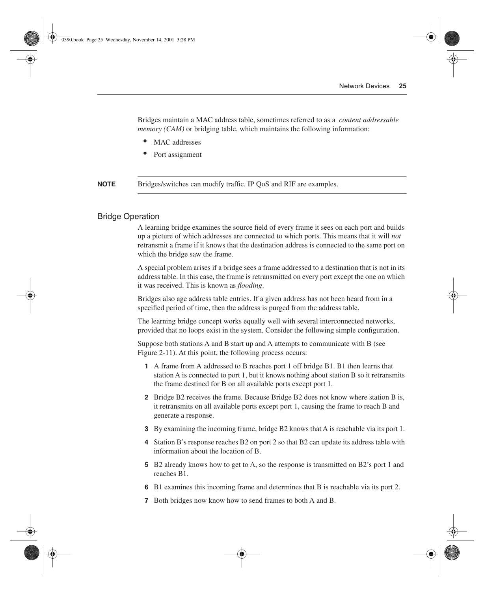Bridges maintain a MAC address table, sometimes referred to as a *content addressable memory (CAM)* or bridging table, which maintains the following information:

- MAC addresses
- Port assignment

**NOTE** Bridges/switches can modify traffic. IP QoS and RIF are examples.

#### Bridge Operation

A learning bridge examines the source field of every frame it sees on each port and builds up a picture of which addresses are connected to which ports. This means that it will *not* retransmit a frame if it knows that the destination address is connected to the same port on which the bridge saw the frame.

A special problem arises if a bridge sees a frame addressed to a destination that is not in its address table. In this case, the frame is retransmitted on every port except the one on which it was received. This is known as *flooding*.

Bridges also age address table entries. If a given address has not been heard from in a specified period of time, then the address is purged from the address table.

The learning bridge concept works equally well with several interconnected networks, provided that no loops exist in the system. Consider the following simple configuration.

Suppose both stations A and B start up and A attempts to communicate with B (see Figure 2-11). At this point, the following process occurs:

- **1** A frame from A addressed to B reaches port 1 off bridge B1. B1 then learns that station A is connected to port 1, but it knows nothing about station B so it retransmits the frame destined for B on all available ports except port 1.
- **2** Bridge B2 receives the frame. Because Bridge B2 does not know where station B is, it retransmits on all available ports except port 1, causing the frame to reach B and generate a response.
- **3** By examining the incoming frame, bridge B2 knows that A is reachable via its port 1.
- **4** Station B's response reaches B2 on port 2 so that B2 can update its address table with information about the location of B.
- **5** B2 already knows how to get to A, so the response is transmitted on B2's port 1 and reaches B1.
- **6** B1 examines this incoming frame and determines that B is reachable via its port 2.
- **7** Both bridges now know how to send frames to both A and B.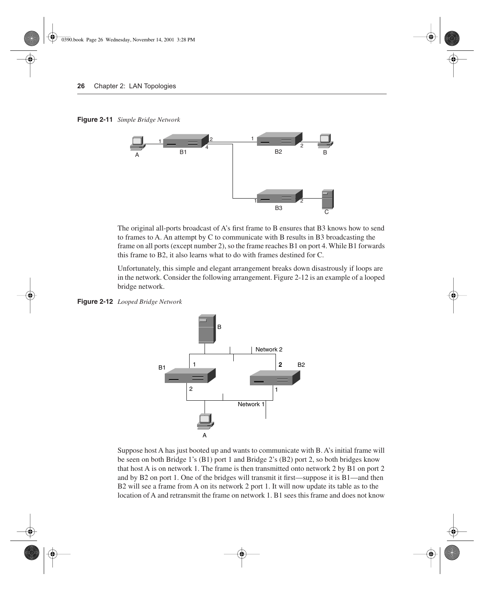**Figure 2-11** *Simple Bridge Network*



The original all-ports broadcast of A's first frame to B ensures that B3 knows how to send to frames to A. An attempt by C to communicate with B results in B3 broadcasting the frame on all ports (except number 2), so the frame reaches B1 on port 4. While B1 forwards this frame to B2, it also learns what to do with frames destined for C.

Unfortunately, this simple and elegant arrangement breaks down disastrously if loops are in the network. Consider the following arrangement. Figure 2-12 is an example of a looped bridge network.

**Figure 2-12** *Looped Bridge Network*



Suppose host A has just booted up and wants to communicate with B. A's initial frame will be seen on both Bridge 1's (B1) port 1 and Bridge 2's (B2) port 2, so both bridges know that host A is on network 1. The frame is then transmitted onto network 2 by B1 on port 2 and by B2 on port 1. One of the bridges will transmit it first—suppose it is B1—and then B2 will see a frame from A on its network 2 port 1. It will now update its table as to the location of A and retransmit the frame on network 1. B1 sees this frame and does not know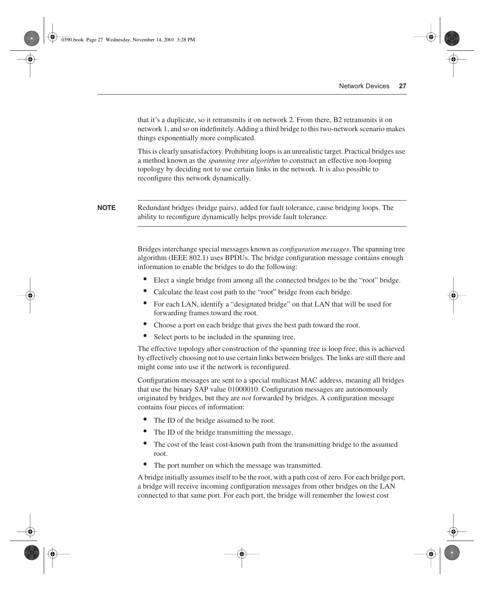that it's a duplicate, so it retransmits it on network 2. From there, B2 retransmits it on network 1, and so on indefinitely. Adding a third bridge to this two-network scenario makes things exponentially more complicated.

This is clearly unsatisfactory. Prohibiting loops is an unrealistic target. Practical bridges use a method known as the *spanning tree algorithm* to construct an effective non-looping topology by deciding not to use certain links in the network. It is also possible to reconfigure this network dynamically.

**NOTE** Redundant bridges (bridge pairs), added for fault tolerance, cause bridging loops. The ability to reconfigure dynamically helps provide fault tolerance.

> Bridges interchange special messages known as *configuration messages*. The spanning tree algorithm (IEEE 802.1) uses BPDUs. The bridge configuration message contains enough information to enable the bridges to do the following:

- Elect a single bridge from among all the connected bridges to be the "root" bridge.
- Calculate the least cost path to the "root" bridge from each bridge.
- For each LAN, identify a "designated bridge" on that LAN that will be used for forwarding frames toward the root.
- Choose a port on each bridge that gives the best path toward the root.
- Select ports to be included in the spanning tree.

The effective topology after construction of the spanning tree is loop free; this is achieved by effectively choosing not to use certain links between bridges. The links are still there and might come into use if the network is reconfigured.

Configuration messages are sent to a special multicast MAC address, meaning all bridges that use the binary SAP value 01000010. Configuration messages are autonomously originated by bridges, but they are *not* forwarded by bridges. A configuration message contains four pieces of information:

- The ID of the bridge assumed to be root.
- The ID of the bridge transmitting the message.
- The cost of the least cost-known path from the transmitting bridge to the assumed root.
- The port number on which the message was transmitted.

A bridge initially assumes itself to be the root, with a path cost of zero. For each bridge port, a bridge will receive incoming configuration messages from other bridges on the LAN connected to that same port. For each port, the bridge will remember the lowest cost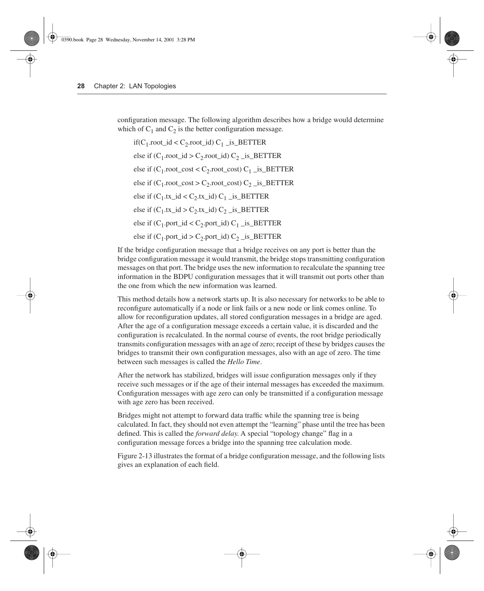configuration message. The following algorithm describes how a bridge would determine which of  $C_1$  and  $C_2$  is the better configuration message.

if( $C_1$ .root\_id <  $C_2$ .root\_id)  $C_1$ \_is\_BETTER else if  $(C_1$ .root\_id >  $C_2$ .root\_id)  $C_2$  \_is\_BETTER else if  $(C_1$ .root\_cost <  $C_2$ .root\_cost)  $C_1$ \_is\_BETTER else if  $(C_1$ .root\_cost >  $C_2$ .root\_cost)  $C_2$ \_is\_BETTER else if  $(C_1$ .tx  $id < C_2$ .tx  $id)$   $C_1$  is BETTER else if  $(C_1$ .tx  $id > C_2$ .tx  $id)$   $C_2$  is BETTER else if  $(C_1$ .port  $id < C_2$ .port  $id$ )  $C_1$  is BETTER else if  $(C_1$ .port\_id >  $C_2$ .port\_id)  $C_2$  \_is\_BETTER

If the bridge configuration message that a bridge receives on any port is better than the bridge configuration message it would transmit, the bridge stops transmitting configuration messages on that port. The bridge uses the new information to recalculate the spanning tree information in the BDPU configuration messages that it will transmit out ports other than the one from which the new information was learned.

This method details how a network starts up. It is also necessary for networks to be able to reconfigure automatically if a node or link fails or a new node or link comes online. To allow for reconfiguration updates, all stored configuration messages in a bridge are aged. After the age of a configuration message exceeds a certain value, it is discarded and the configuration is recalculated. In the normal course of events, the root bridge periodically transmits configuration messages with an age of zero; receipt of these by bridges causes the bridges to transmit their own configuration messages, also with an age of zero. The time between such messages is called the *Hello Time*.

After the network has stabilized, bridges will issue configuration messages only if they receive such messages or if the age of their internal messages has exceeded the maximum. Configuration messages with age zero can only be transmitted if a configuration message with age zero has been received.

Bridges might not attempt to forward data traffic while the spanning tree is being calculated. In fact, they should not even attempt the "learning" phase until the tree has been defined. This is called the *forward delay*. A special "topology change" flag in a configuration message forces a bridge into the spanning tree calculation mode.

Figure 2-13 illustrates the format of a bridge configuration message, and the following lists gives an explanation of each field.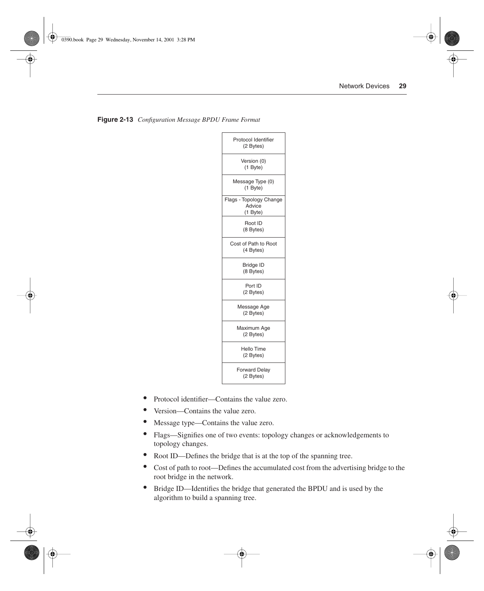| Protocol Identifier<br>(2 Bytes)              |  |
|-----------------------------------------------|--|
| Version (0)<br>(1 Byte)                       |  |
| Message Type (0)<br>(1 Byte)                  |  |
| Flags - Topology Change<br>Advice<br>(1 Byte) |  |
| Root ID<br>(8 Bytes)                          |  |
| Cost of Path to Root<br>(4 Bytes)             |  |
| <b>Bridge ID</b><br>(8 Bytes)                 |  |
| Port ID<br>(2 Bytes)                          |  |
| Message Age<br>(2 Bytes)                      |  |
| Maximum Age<br>(2 Bytes)                      |  |
| Hello Time<br>(2 Bytes)                       |  |
| <b>Forward Delay</b><br>(2 Bytes)             |  |

|  | Figure 2-13 Configuration Message BPDU Frame Formal |  |  |  |  |
|--|-----------------------------------------------------|--|--|--|--|
|--|-----------------------------------------------------|--|--|--|--|

- Protocol identifier—Contains the value zero.
- Version—Contains the value zero.
- Message type—Contains the value zero.
- Flags—Signifies one of two events: topology changes or acknowledgements to topology changes.
- Root ID—Defines the bridge that is at the top of the spanning tree.
- Cost of path to root—Defines the accumulated cost from the advertising bridge to the root bridge in the network.
- Bridge ID—Identifies the bridge that generated the BPDU and is used by the algorithm to build a spanning tree.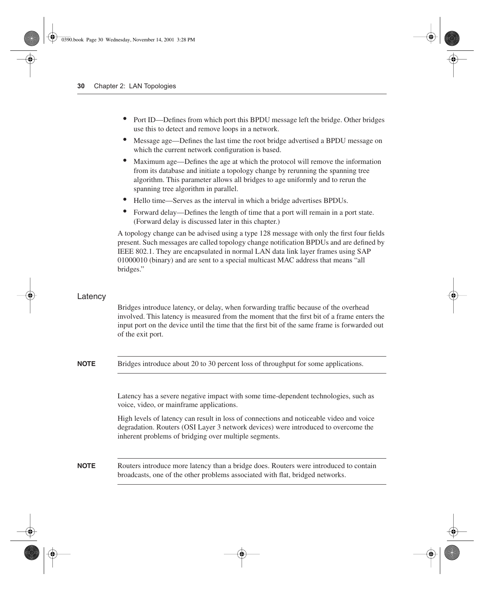- Port ID—Defines from which port this BPDU message left the bridge. Other bridges use this to detect and remove loops in a network.
- Message age—Defines the last time the root bridge advertised a BPDU message on which the current network configuration is based.
- Maximum age—Defines the age at which the protocol will remove the information from its database and initiate a topology change by rerunning the spanning tree algorithm. This parameter allows all bridges to age uniformly and to rerun the spanning tree algorithm in parallel.
- Hello time—Serves as the interval in which a bridge advertises BPDUs.
- Forward delay—Defines the length of time that a port will remain in a port state. (Forward delay is discussed later in this chapter.)

A topology change can be advised using a type 128 message with only the first four fields present. Such messages are called topology change notification BPDUs and are defined by IEEE 802.1. They are encapsulated in normal LAN data link layer frames using SAP 01000010 (binary) and are sent to a special multicast MAC address that means "all bridges."

#### Latency

Bridges introduce latency, or delay, when forwarding traffic because of the overhead involved. This latency is measured from the moment that the first bit of a frame enters the input port on the device until the time that the first bit of the same frame is forwarded out of the exit port.

**NOTE** Bridges introduce about 20 to 30 percent loss of throughput for some applications.

Latency has a severe negative impact with some time-dependent technologies, such as voice, video, or mainframe applications.

High levels of latency can result in loss of connections and noticeable video and voice degradation. Routers (OSI Layer 3 network devices) were introduced to overcome the inherent problems of bridging over multiple segments.

**NOTE** Routers introduce more latency than a bridge does. Routers were introduced to contain broadcasts, one of the other problems associated with flat, bridged networks.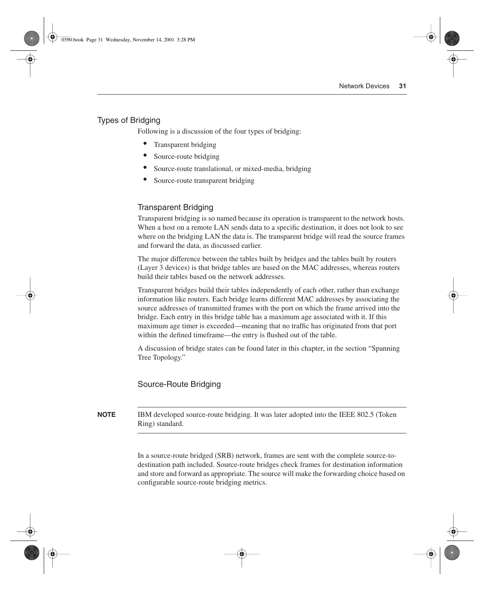#### Types of Bridging

Following is a discussion of the four types of bridging:

- Transparent bridging
- Source-route bridging
- Source-route translational, or mixed-media, bridging
- Source-route transparent bridging

#### Transparent Bridging

Transparent bridging is so named because its operation is transparent to the network hosts. When a host on a remote LAN sends data to a specific destination, it does not look to see where on the bridging LAN the data is. The transparent bridge will read the source frames and forward the data, as discussed earlier.

The major difference between the tables built by bridges and the tables built by routers (Layer 3 devices) is that bridge tables are based on the MAC addresses, whereas routers build their tables based on the network addresses.

Transparent bridges build their tables independently of each other, rather than exchange information like routers. Each bridge learns different MAC addresses by associating the source addresses of transmitted frames with the port on which the frame arrived into the bridge. Each entry in this bridge table has a maximum age associated with it. If this maximum age timer is exceeded—meaning that no traffic has originated from that port within the defined timeframe—the entry is flushed out of the table.

A discussion of bridge states can be found later in this chapter, in the section "Spanning Tree Topology."

#### Source-Route Bridging

**NOTE** IBM developed source-route bridging. It was later adopted into the IEEE 802.5 (Token Ring) standard.

> In a source-route bridged (SRB) network, frames are sent with the complete source-todestination path included. Source-route bridges check frames for destination information and store and forward as appropriate. The source will make the forwarding choice based on configurable source-route bridging metrics.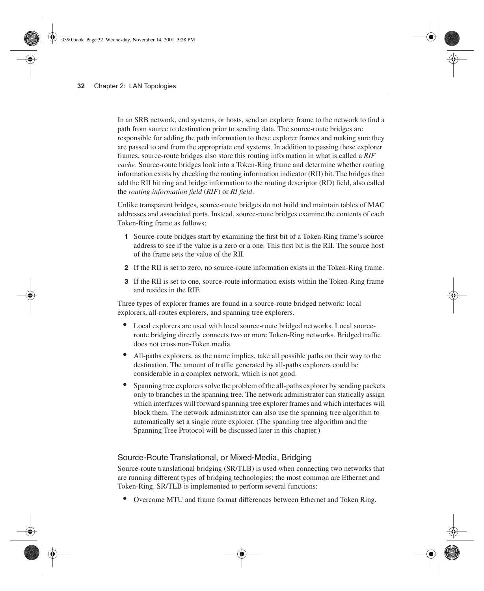In an SRB network, end systems, or hosts, send an explorer frame to the network to find a path from source to destination prior to sending data. The source-route bridges are responsible for adding the path information to these explorer frames and making sure they are passed to and from the appropriate end systems. In addition to passing these explorer frames, source-route bridges also store this routing information in what is called a *RIF cache*. Source-route bridges look into a Token-Ring frame and determine whether routing information exists by checking the routing information indicator (RII) bit. The bridges then add the RII bit ring and bridge information to the routing descriptor (RD) field, also called the *routing information field* (*RIF*) or *RI field*.

Unlike transparent bridges, source-route bridges do not build and maintain tables of MAC addresses and associated ports. Instead, source-route bridges examine the contents of each Token-Ring frame as follows:

- **1** Source-route bridges start by examining the first bit of a Token-Ring frame's source address to see if the value is a zero or a one. This first bit is the RII. The source host of the frame sets the value of the RII.
- **2** If the RII is set to zero, no source-route information exists in the Token-Ring frame.
- **3** If the RII is set to one, source-route information exists within the Token-Ring frame and resides in the RIF.

Three types of explorer frames are found in a source-route bridged network: local explorers, all-routes explorers, and spanning tree explorers.

- Local explorers are used with local source-route bridged networks. Local sourceroute bridging directly connects two or more Token-Ring networks. Bridged traffic does not cross non-Token media.
- All-paths explorers, as the name implies, take all possible paths on their way to the destination. The amount of traffic generated by all-paths explorers could be considerable in a complex network, which is not good.
- Spanning tree explorers solve the problem of the all-paths explorer by sending packets only to branches in the spanning tree. The network administrator can statically assign which interfaces will forward spanning tree explorer frames and which interfaces will block them. The network administrator can also use the spanning tree algorithm to automatically set a single route explorer. (The spanning tree algorithm and the Spanning Tree Protocol will be discussed later in this chapter.)

#### Source-Route Translational, or Mixed-Media, Bridging

Source-route translational bridging (SR/TLB) is used when connecting two networks that are running different types of bridging technologies; the most common are Ethernet and Token-Ring. SR/TLB is implemented to perform several functions:

• Overcome MTU and frame format differences between Ethernet and Token Ring.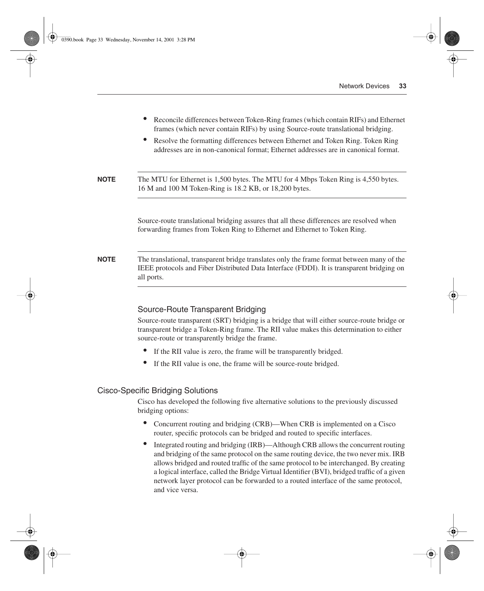- Reconcile differences between Token-Ring frames (which contain RIFs) and Ethernet frames (which never contain RIFs) by using Source-route translational bridging.
- Resolve the formatting differences between Ethernet and Token Ring. Token Ring addresses are in non-canonical format; Ethernet addresses are in canonical format.

**NOTE** The MTU for Ethernet is 1,500 bytes. The MTU for 4 Mbps Token Ring is 4,550 bytes. 16 M and 100 M Token-Ring is 18.2 KB, or 18,200 bytes.

> Source-route translational bridging assures that all these differences are resolved when forwarding frames from Token Ring to Ethernet and Ethernet to Token Ring.

**NOTE** The translational, transparent bridge translates only the frame format between many of the IEEE protocols and Fiber Distributed Data Interface (FDDI). It is transparent bridging on all ports.

#### Source-Route Transparent Bridging

Source-route transparent (SRT) bridging is a bridge that will either source-route bridge or transparent bridge a Token-Ring frame. The RII value makes this determination to either source-route or transparently bridge the frame.

- If the RII value is zero, the frame will be transparently bridged.
- If the RII value is one, the frame will be source-route bridged.

#### Cisco-Specific Bridging Solutions

Cisco has developed the following five alternative solutions to the previously discussed bridging options:

- Concurrent routing and bridging (CRB)—When CRB is implemented on a Cisco router, specific protocols can be bridged and routed to specific interfaces.
- Integrated routing and bridging (IRB)—Although CRB allows the concurrent routing and bridging of the same protocol on the same routing device, the two never mix. IRB allows bridged and routed traffic of the same protocol to be interchanged. By creating a logical interface, called the Bridge Virtual Identifier (BVI), bridged traffic of a given network layer protocol can be forwarded to a routed interface of the same protocol, and vice versa.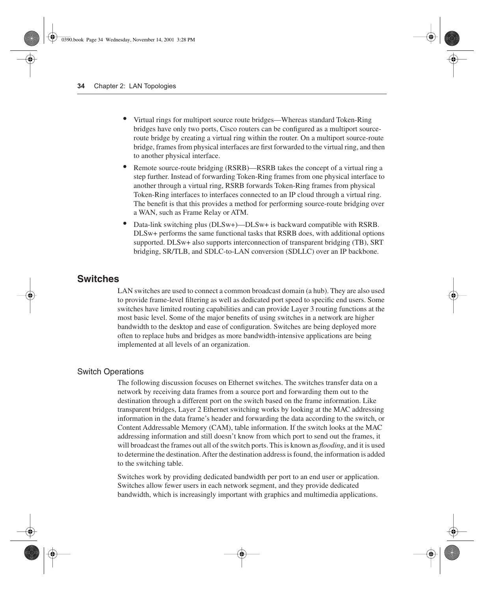- Virtual rings for multiport source route bridges—Whereas standard Token-Ring bridges have only two ports, Cisco routers can be configured as a multiport sourceroute bridge by creating a virtual ring within the router. On a multiport source-route bridge, frames from physical interfaces are first forwarded to the virtual ring, and then to another physical interface.
- Remote source-route bridging (RSRB)—RSRB takes the concept of a virtual ring a step further. Instead of forwarding Token-Ring frames from one physical interface to another through a virtual ring, RSRB forwards Token-Ring frames from physical Token-Ring interfaces to interfaces connected to an IP cloud through a virtual ring. The benefit is that this provides a method for performing source-route bridging over a WAN, such as Frame Relay or ATM.
- Data-link switching plus (DLSw+)—DLSw+ is backward compatible with RSRB. DLSw+ performs the same functional tasks that RSRB does, with additional options supported. DLSw+ also supports interconnection of transparent bridging (TB), SRT bridging, SR/TLB, and SDLC-to-LAN conversion (SDLLC) over an IP backbone.

## **Switches**

LAN switches are used to connect a common broadcast domain (a hub). They are also used to provide frame-level filtering as well as dedicated port speed to specific end users. Some switches have limited routing capabilities and can provide Layer 3 routing functions at the most basic level. Some of the major benefits of using switches in a network are higher bandwidth to the desktop and ease of configuration. Switches are being deployed more often to replace hubs and bridges as more bandwidth-intensive applications are being implemented at all levels of an organization.

#### Switch Operations

The following discussion focuses on Ethernet switches. The switches transfer data on a network by receiving data frames from a source port and forwarding them out to the destination through a different port on the switch based on the frame information. Like transparent bridges, Layer 2 Ethernet switching works by looking at the MAC addressing information in the data frame's header and forwarding the data according to the switch, or Content Addressable Memory (CAM), table information. If the switch looks at the MAC addressing information and still doesn't know from which port to send out the frames, it will broadcast the frames out all of the switch ports. This is known as *flooding*, and it is used to determine the destination. After the destination address is found, the information is added to the switching table.

Switches work by providing dedicated bandwidth per port to an end user or application. Switches allow fewer users in each network segment, and they provide dedicated bandwidth, which is increasingly important with graphics and multimedia applications.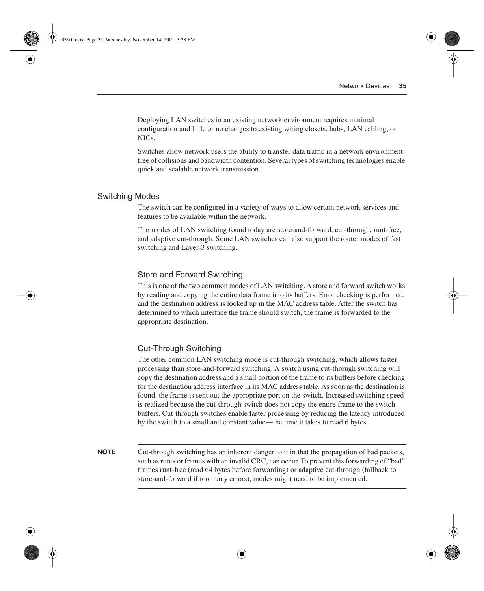Deploying LAN switches in an existing network environment requires minimal configuration and little or no changes to existing wiring closets, hubs, LAN cabling, or NICs.

Switches allow network users the ability to transfer data traffic in a network environment free of collisions and bandwidth contention. Several types of switching technologies enable quick and scalable network transmission.

#### Switching Modes

The switch can be configured in a variety of ways to allow certain network services and features to be available within the network.

The modes of LAN switching found today are store-and-forward, cut-through, runt-free, and adaptive cut-through. Some LAN switches can also support the router modes of fast switching and Layer-3 switching.

#### Store and Forward Switching

This is one of the two common modes of LAN switching. A store and forward switch works by reading and copying the entire data frame into its buffers. Error checking is performed, and the destination address is looked up in the MAC address table. After the switch has determined to which interface the frame should switch, the frame is forwarded to the appropriate destination.

#### Cut-Through Switching

The other common LAN switching mode is cut-through switching, which allows faster processing than store-and-forward switching. A switch using cut-through switching will copy the destination address and a small portion of the frame to its buffers before checking for the destination address interface in its MAC address table. As soon as the destination is found, the frame is sent out the appropriate port on the switch. Increased switching speed is realized because the cut-through switch does not copy the entire frame to the switch buffers. Cut-through switches enable faster processing by reducing the latency introduced by the switch to a small and constant value—the time it takes to read 6 bytes.

**NOTE** Cut-through switching has an inherent danger to it in that the propagation of bad packets, such as runts or frames with an invalid CRC, can occur. To prevent this forwarding of "bad" frames runt-free (read 64 bytes before forwarding) or adaptive cut-through (fallback to store-and-forward if too many errors), modes might need to be implemented.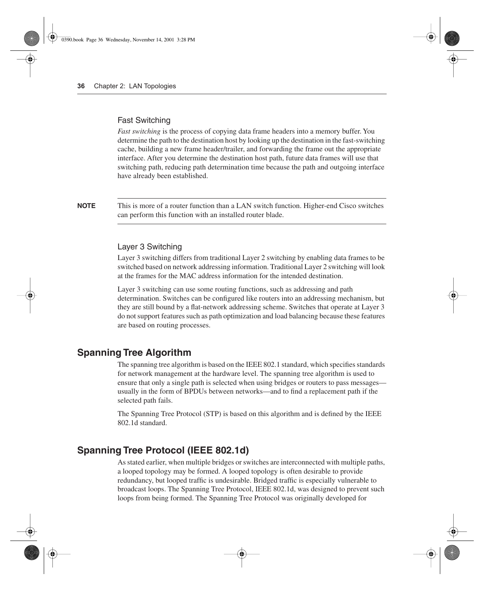#### Fast Switching

*Fast switching* is the process of copying data frame headers into a memory buffer. You determine the path to the destination host by looking up the destination in the fast-switching cache, building a new frame header/trailer, and forwarding the frame out the appropriate interface. After you determine the destination host path, future data frames will use that switching path, reducing path determination time because the path and outgoing interface have already been established.

**NOTE** This is more of a router function than a LAN switch function. Higher-end Cisco switches can perform this function with an installed router blade.

#### Layer 3 Switching

Layer 3 switching differs from traditional Layer 2 switching by enabling data frames to be switched based on network addressing information. Traditional Layer 2 switching will look at the frames for the MAC address information for the intended destination.

Layer 3 switching can use some routing functions, such as addressing and path determination. Switches can be configured like routers into an addressing mechanism, but they are still bound by a flat-network addressing scheme. Switches that operate at Layer 3 do not support features such as path optimization and load balancing because these features are based on routing processes.

### **Spanning Tree Algorithm**

The spanning tree algorithm is based on the IEEE 802.1 standard, which specifies standards for network management at the hardware level. The spanning tree algorithm is used to ensure that only a single path is selected when using bridges or routers to pass messages usually in the form of BPDUs between networks—and to find a replacement path if the selected path fails.

The Spanning Tree Protocol (STP) is based on this algorithm and is defined by the IEEE 802.1d standard.

## **Spanning Tree Protocol (IEEE 802.1d)**

As stated earlier, when multiple bridges or switches are interconnected with multiple paths, a looped topology may be formed. A looped topology is often desirable to provide redundancy, but looped traffic is undesirable. Bridged traffic is especially vulnerable to broadcast loops. The Spanning Tree Protocol, IEEE 802.1d, was designed to prevent such loops from being formed. The Spanning Tree Protocol was originally developed for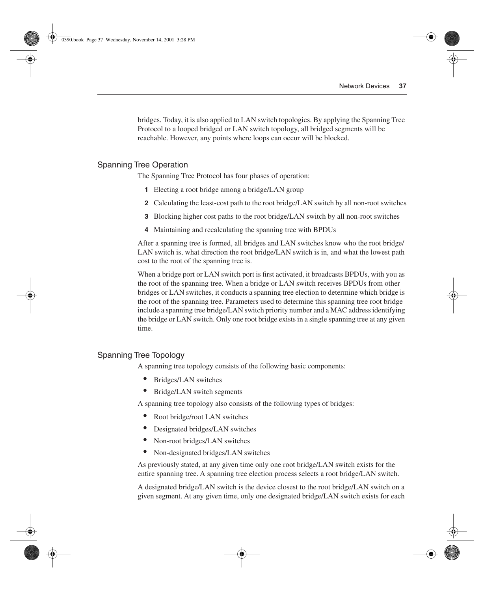bridges. Today, it is also applied to LAN switch topologies. By applying the Spanning Tree Protocol to a looped bridged or LAN switch topology, all bridged segments will be reachable. However, any points where loops can occur will be blocked.

#### Spanning Tree Operation

The Spanning Tree Protocol has four phases of operation:

- **1** Electing a root bridge among a bridge/LAN group
- **2** Calculating the least-cost path to the root bridge/LAN switch by all non-root switches
- **3** Blocking higher cost paths to the root bridge/LAN switch by all non-root switches
- **4** Maintaining and recalculating the spanning tree with BPDUs

After a spanning tree is formed, all bridges and LAN switches know who the root bridge/ LAN switch is, what direction the root bridge/LAN switch is in, and what the lowest path cost to the root of the spanning tree is.

When a bridge port or LAN switch port is first activated, it broadcasts BPDUs, with you as the root of the spanning tree. When a bridge or LAN switch receives BPDUs from other bridges or LAN switches, it conducts a spanning tree election to determine which bridge is the root of the spanning tree. Parameters used to determine this spanning tree root bridge include a spanning tree bridge/LAN switch priority number and a MAC address identifying the bridge or LAN switch. Only one root bridge exists in a single spanning tree at any given time.

#### Spanning Tree Topology

A spanning tree topology consists of the following basic components:

- Bridges/LAN switches
- Bridge/LAN switch segments

A spanning tree topology also consists of the following types of bridges:

- Root bridge/root LAN switches
- Designated bridges/LAN switches
- Non-root bridges/LAN switches
- Non-designated bridges/LAN switches

As previously stated, at any given time only one root bridge/LAN switch exists for the entire spanning tree. A spanning tree election process selects a root bridge/LAN switch.

A designated bridge/LAN switch is the device closest to the root bridge/LAN switch on a given segment. At any given time, only one designated bridge/LAN switch exists for each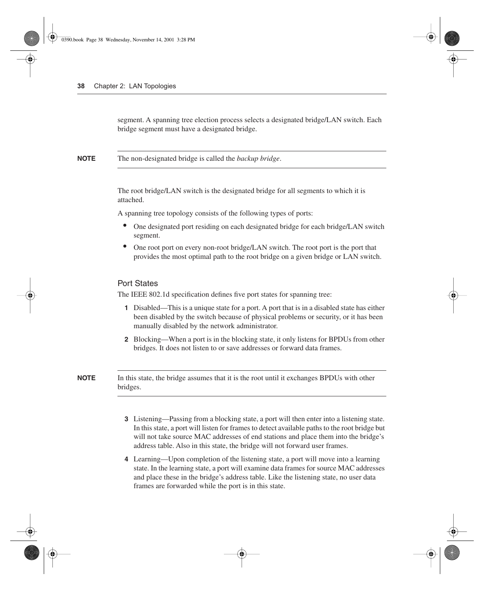segment. A spanning tree election process selects a designated bridge/LAN switch. Each bridge segment must have a designated bridge.

**NOTE** The non-designated bridge is called the *backup bridge*.

The root bridge/LAN switch is the designated bridge for all segments to which it is attached.

A spanning tree topology consists of the following types of ports:

- One designated port residing on each designated bridge for each bridge/LAN switch segment.
- One root port on every non-root bridge/LAN switch. The root port is the port that provides the most optimal path to the root bridge on a given bridge or LAN switch.

#### Port States

The IEEE 802.1d specification defines five port states for spanning tree:

- **1** Disabled—This is a unique state for a port. A port that is in a disabled state has either been disabled by the switch because of physical problems or security, or it has been manually disabled by the network administrator.
- **2** Blocking—When a port is in the blocking state, it only listens for BPDUs from other bridges. It does not listen to or save addresses or forward data frames.

**NOTE** In this state, the bridge assumes that it is the root until it exchanges BPDUs with other bridges.

- **3** Listening—Passing from a blocking state, a port will then enter into a listening state. In this state, a port will listen for frames to detect available paths to the root bridge but will not take source MAC addresses of end stations and place them into the bridge's address table. Also in this state, the bridge will not forward user frames.
- **4** Learning—Upon completion of the listening state, a port will move into a learning state. In the learning state, a port will examine data frames for source MAC addresses and place these in the bridge's address table. Like the listening state, no user data frames are forwarded while the port is in this state.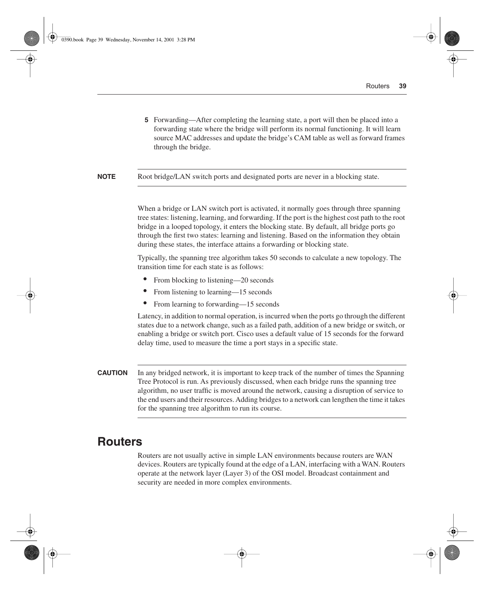**5** Forwarding—After completing the learning state, a port will then be placed into a forwarding state where the bridge will perform its normal functioning. It will learn source MAC addresses and update the bridge's CAM table as well as forward frames through the bridge.

**NOTE** Root bridge/LAN switch ports and designated ports are never in a blocking state.

When a bridge or LAN switch port is activated, it normally goes through three spanning tree states: listening, learning, and forwarding. If the port is the highest cost path to the root bridge in a looped topology, it enters the blocking state. By default, all bridge ports go through the first two states: learning and listening. Based on the information they obtain during these states, the interface attains a forwarding or blocking state.

Typically, the spanning tree algorithm takes 50 seconds to calculate a new topology. The transition time for each state is as follows:

- From blocking to listening—20 seconds
- From listening to learning—15 seconds
- From learning to forwarding—15 seconds

Latency, in addition to normal operation, is incurred when the ports go through the different states due to a network change, such as a failed path, addition of a new bridge or switch, or enabling a bridge or switch port. Cisco uses a default value of 15 seconds for the forward delay time, used to measure the time a port stays in a specific state.

**CAUTION** In any bridged network, it is important to keep track of the number of times the Spanning Tree Protocol is run. As previously discussed, when each bridge runs the spanning tree algorithm, no user traffic is moved around the network, causing a disruption of service to the end users and their resources. Adding bridges to a network can lengthen the time it takes for the spanning tree algorithm to run its course.

# **Routers**

Routers are not usually active in simple LAN environments because routers are WAN devices. Routers are typically found at the edge of a LAN, interfacing with a WAN. Routers operate at the network layer (Layer 3) of the OSI model. Broadcast containment and security are needed in more complex environments.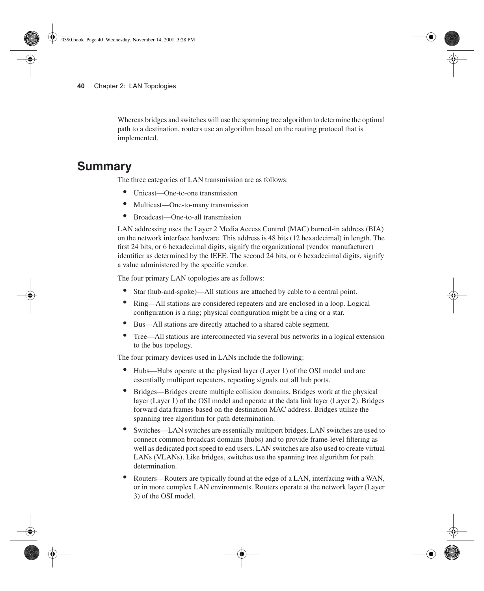Whereas bridges and switches will use the spanning tree algorithm to determine the optimal path to a destination, routers use an algorithm based on the routing protocol that is implemented.

# **Summary**

The three categories of LAN transmission are as follows:

- Unicast—One-to-one transmission
- Multicast—One-to-many transmission
- Broadcast—One-to-all transmission

LAN addressing uses the Layer 2 Media Access Control (MAC) burned-in address (BIA) on the network interface hardware. This address is 48 bits (12 hexadecimal) in length. The first 24 bits, or 6 hexadecimal digits, signify the organizational (vendor manufacturer) identifier as determined by the IEEE. The second 24 bits, or 6 hexadecimal digits, signify a value administered by the specific vendor.

The four primary LAN topologies are as follows:

- Star (hub-and-spoke)—All stations are attached by cable to a central point.
- Ring—All stations are considered repeaters and are enclosed in a loop. Logical configuration is a ring; physical configuration might be a ring or a star.
- Bus—All stations are directly attached to a shared cable segment.
- Tree—All stations are interconnected via several bus networks in a logical extension to the bus topology.

The four primary devices used in LANs include the following:

- Hubs—Hubs operate at the physical layer (Layer 1) of the OSI model and are essentially multiport repeaters, repeating signals out all hub ports.
- Bridges—Bridges create multiple collision domains. Bridges work at the physical layer (Layer 1) of the OSI model and operate at the data link layer (Layer 2). Bridges forward data frames based on the destination MAC address. Bridges utilize the spanning tree algorithm for path determination.
- Switches—LAN switches are essentially multiport bridges. LAN switches are used to connect common broadcast domains (hubs) and to provide frame-level filtering as well as dedicated port speed to end users. LAN switches are also used to create virtual LANs (VLANs). Like bridges, switches use the spanning tree algorithm for path determination.
- Routers—Routers are typically found at the edge of a LAN, interfacing with a WAN, or in more complex LAN environments. Routers operate at the network layer (Layer 3) of the OSI model.